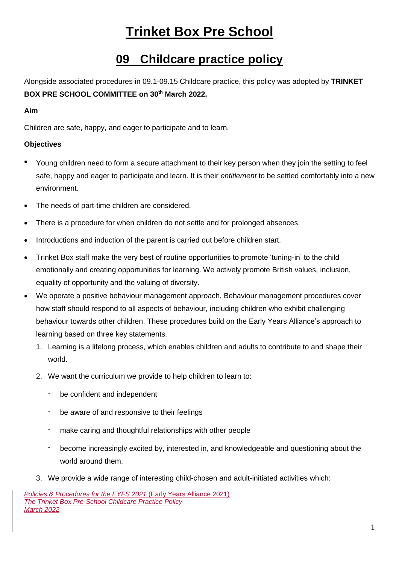## **09 Childcare practice policy**

Alongside associated procedures in 09.1-09.15 Childcare practice, this policy was adopted by **TRINKET BOX PRE SCHOOL COMMITTEE on 30th March 2022.**

#### **Aim**

Children are safe, happy, and eager to participate and to learn.

### **Objectives**

- Young children need to form a secure attachment to their key person when they join the setting to feel safe, happy and eager to participate and learn. It is their *entitlement* to be settled comfortably into a new environment.
- The needs of part-time children are considered.
- There is a procedure for when children do not settle and for prolonged absences.
- Introductions and induction of the parent is carried out before children start.
- Trinket Box staff make the very best of routine opportunities to promote 'tuning-in' to the child emotionally and creating opportunities for learning. We actively promote British values, inclusion, equality of opportunity and the valuing of diversity.
- We operate a positive behaviour management approach. Behaviour management procedures cover how staff should respond to all aspects of behaviour, including children who exhibit challenging behaviour towards other children. These procedures build on the Early Years Alliance's approach to learning based on three key statements.
	- 1. Learning is a lifelong process, which enables children and adults to contribute to and shape their world.
	- 2. We want the curriculum we provide to help children to learn to:
		- be confident and independent
		- be aware of and responsive to their feelings
		- make caring and thoughtful relationships with other people
		- become increasingly excited by, interested in, and knowledgeable and questioning about the world around them.
	- 3. We provide a wide range of interesting child-chosen and adult-initiated activities which: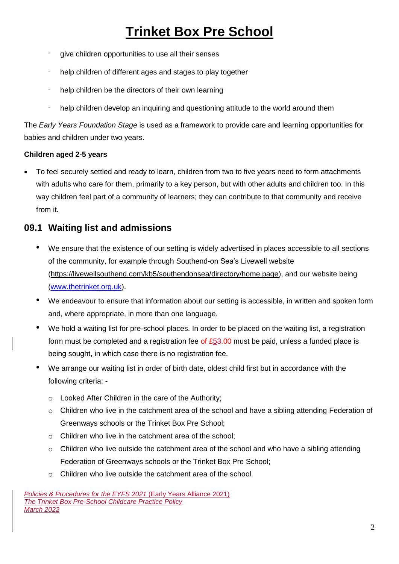- give children opportunities to use all their senses
- help children of different ages and stages to play together
- help children be the directors of their own learning
- help children develop an inquiring and questioning attitude to the world around them

The *Early Years Foundation Stage* is used as a framework to provide care and learning opportunities for babies and children under two years.

### **Children aged 2-5 years**

 To feel securely settled and ready to learn, children from two to five years need to form attachments with adults who care for them, primarily to a key person, but with other adults and children too. In this way children feel part of a community of learners; they can contribute to that community and receive from it.

## **09.1 Waiting list and admissions**

- We ensure that the existence of our setting is widely advertised in places accessible to all sections of the community, for example through Southend-on Sea's Livewell website [\(https://livewellsouthend.com/kb5/southendonsea/directory/home.page\)](https://livewellsouthend.com/kb5/southendonsea/directory/home.page), and our website being [\(www.thetrinket.org.uk\)](http://www.thetrinket.org.uk/).
- We endeavour to ensure that information about our setting is accessible, in written and spoken form and, where appropriate, in more than one language.
- We hold a waiting list for pre-school places. In order to be placed on the waiting list, a registration form must be completed and a registration fee of  $£53.00$  must be paid, unless a funded place is being sought, in which case there is no registration fee.
- We arrange our waiting list in order of birth date, oldest child first but in accordance with the following criteria:
	- o Looked After Children in the care of the Authority;
	- o Children who live in the catchment area of the school and have a sibling attending Federation of Greenways schools or the Trinket Box Pre School;
	- o Children who live in the catchment area of the school;
	- $\circ$  Children who live outside the catchment area of the school and who have a sibling attending Federation of Greenways schools or the Trinket Box Pre School;
	- o Children who live outside the catchment area of the school.

*Policies & Procedures for the EYFS 2021* (Early Years Alliance 2021) *The Trinket Box Pre-School Childcare Practice Policy March 2022*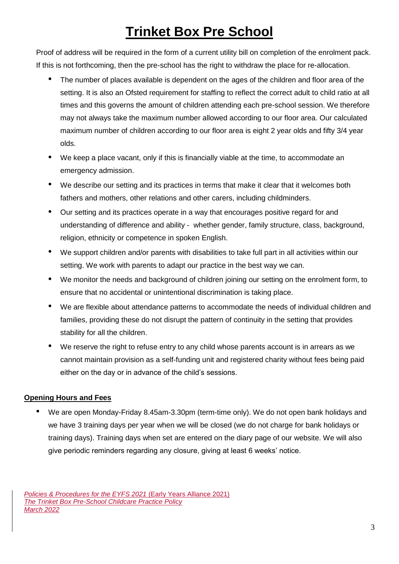Proof of address will be required in the form of a current utility bill on completion of the enrolment pack. If this is not forthcoming, then the pre-school has the right to withdraw the place for re-allocation.

- The number of places available is dependent on the ages of the children and floor area of the setting. It is also an Ofsted requirement for staffing to reflect the correct adult to child ratio at all times and this governs the amount of children attending each pre-school session. We therefore may not always take the maximum number allowed according to our floor area. Our calculated maximum number of children according to our floor area is eight 2 year olds and fifty 3/4 year olds.
- We keep a place vacant, only if this is financially viable at the time, to accommodate an emergency admission.
- We describe our setting and its practices in terms that make it clear that it welcomes both fathers and mothers, other relations and other carers, including childminders.
- Our setting and its practices operate in a way that encourages positive regard for and understanding of difference and ability - whether gender, family structure, class, background, religion, ethnicity or competence in spoken English.
- We support children and/or parents with disabilities to take full part in all activities within our setting. We work with parents to adapt our practice in the best way we can.
- We monitor the needs and background of children joining our setting on the enrolment form, to ensure that no accidental or unintentional discrimination is taking place.
- We are flexible about attendance patterns to accommodate the needs of individual children and families, providing these do not disrupt the pattern of continuity in the setting that provides stability for all the children.
- We reserve the right to refuse entry to any child whose parents account is in arrears as we cannot maintain provision as a self-funding unit and registered charity without fees being paid either on the day or in advance of the child's sessions.

### **Opening Hours and Fees**

 We are open Monday-Friday 8.45am-3.30pm (term-time only). We do not open bank holidays and we have 3 training days per year when we will be closed (we do not charge for bank holidays or training days). Training days when set are entered on the diary page of our website. We will also give periodic reminders regarding any closure, giving at least 6 weeks' notice.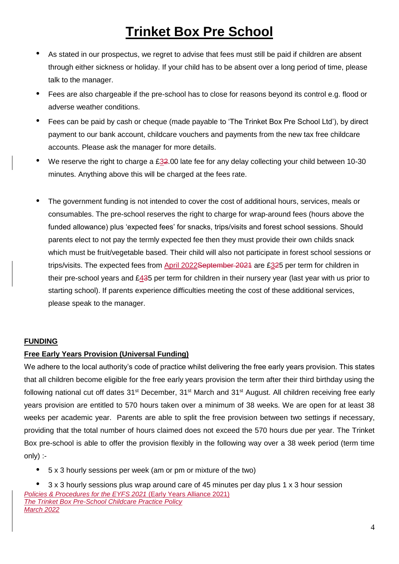- As stated in our prospectus, we regret to advise that fees must still be paid if children are absent through either sickness or holiday. If your child has to be absent over a long period of time, please talk to the manager.
- Fees are also chargeable if the pre-school has to close for reasons beyond its control e.g. flood or adverse weather conditions.
- Fees can be paid by cash or cheque (made payable to 'The Trinket Box Pre School Ltd'), by direct payment to our bank account, childcare vouchers and payments from the new tax free childcare accounts. Please ask the manager for more details.
- We reserve the right to charge a £32.00 late fee for any delay collecting your child between 10-30 minutes. Anything above this will be charged at the fees rate.
- The government funding is not intended to cover the cost of additional hours, services, meals or consumables. The pre-school reserves the right to charge for wrap-around fees (hours above the funded allowance) plus 'expected fees' for snacks, trips/visits and forest school sessions. Should parents elect to not pay the termly expected fee then they must provide their own childs snack which must be fruit/vegetable based. Their child will also not participate in forest school sessions or trips/visits. The expected fees from April 2022September 2024 are £325 per term for children in their pre-school years and £435 per term for children in their nursery year (last year with us prior to starting school). If parents experience difficulties meeting the cost of these additional services, please speak to the manager.

#### **FUNDING**

#### **Free Early Years Provision (Universal Funding)**

We adhere to the local authority's code of practice whilst delivering the free early years provision. This states that all children become eligible for the free early years provision the term after their third birthday using the following national cut off dates 31<sup>st</sup> December, 31<sup>st</sup> March and 31<sup>st</sup> August. All children receiving free early years provision are entitled to 570 hours taken over a minimum of 38 weeks. We are open for at least 38 weeks per academic year. Parents are able to split the free provision between two settings if necessary, providing that the total number of hours claimed does not exceed the 570 hours due per year. The Trinket Box pre-school is able to offer the provision flexibly in the following way over a 38 week period (term time only) :-

- 5 x 3 hourly sessions per week (am or pm or mixture of the two)
- *Policies & Procedures for the EYFS 2021* (Early Years Alliance 2021) *The Trinket Box Pre-School Childcare Practice Policy March 2022* 3 x 3 hourly sessions plus wrap around care of 45 minutes per day plus 1 x 3 hour session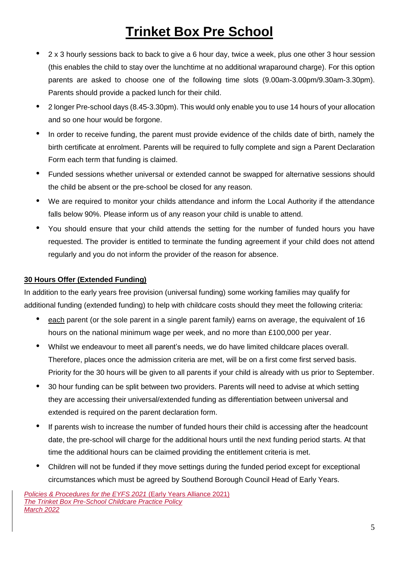- 2 x 3 hourly sessions back to back to give a 6 hour day, twice a week, plus one other 3 hour session (this enables the child to stay over the lunchtime at no additional wraparound charge). For this option parents are asked to choose one of the following time slots (9.00am-3.00pm/9.30am-3.30pm). Parents should provide a packed lunch for their child.
- 2 longer Pre-school days (8.45-3.30pm). This would only enable you to use 14 hours of your allocation and so one hour would be forgone.
- In order to receive funding, the parent must provide evidence of the childs date of birth, namely the birth certificate at enrolment. Parents will be required to fully complete and sign a Parent Declaration Form each term that funding is claimed.
- Funded sessions whether universal or extended cannot be swapped for alternative sessions should the child be absent or the pre-school be closed for any reason.
- We are required to monitor your childs attendance and inform the Local Authority if the attendance falls below 90%. Please inform us of any reason your child is unable to attend.
- You should ensure that your child attends the setting for the number of funded hours you have requested. The provider is entitled to terminate the funding agreement if your child does not attend regularly and you do not inform the provider of the reason for absence.

### **30 Hours Offer (Extended Funding)**

In addition to the early years free provision (universal funding) some working families may qualify for additional funding (extended funding) to help with childcare costs should they meet the following criteria:

- each parent (or the sole parent in a single parent family) earns on average, the equivalent of 16 hours on the national minimum wage per week, and no more than £100,000 per year.
- Whilst we endeavour to meet all parent's needs, we do have limited childcare places overall. Therefore, places once the admission criteria are met, will be on a first come first served basis. Priority for the 30 hours will be given to all parents if your child is already with us prior to September.
- 30 hour funding can be split between two providers. Parents will need to advise at which setting they are accessing their universal/extended funding as differentiation between universal and extended is required on the parent declaration form.
- If parents wish to increase the number of funded hours their child is accessing after the headcount date, the pre-school will charge for the additional hours until the next funding period starts. At that time the additional hours can be claimed providing the entitlement criteria is met.
- Children will not be funded if they move settings during the funded period except for exceptional circumstances which must be agreed by Southend Borough Council Head of Early Years.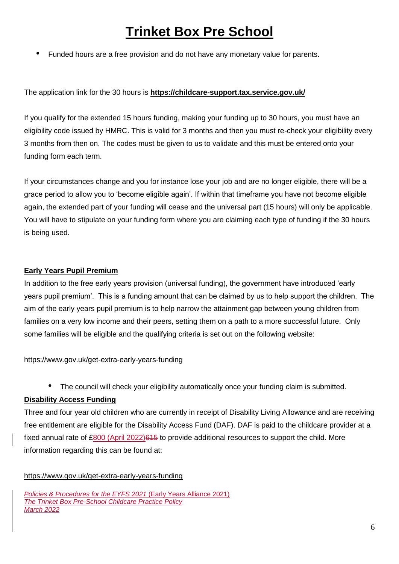Funded hours are a free provision and do not have any monetary value for parents.

#### The application link for the 30 hours is **<https://childcare-support.tax.service.gov.uk/>**

If you qualify for the extended 15 hours funding, making your funding up to 30 hours, you must have an eligibility code issued by HMRC. This is valid for 3 months and then you must re-check your eligibility every 3 months from then on. The codes must be given to us to validate and this must be entered onto your funding form each term.

If your circumstances change and you for instance lose your job and are no longer eligible, there will be a grace period to allow you to 'become eligible again'. If within that timeframe you have not become eligible again, the extended part of your funding will cease and the universal part (15 hours) will only be applicable. You will have to stipulate on your funding form where you are claiming each type of funding if the 30 hours is being used.

#### **Early Years Pupil Premium**

In addition to the free early years provision (universal funding), the government have introduced 'early years pupil premium'. This is a funding amount that can be claimed by us to help support the children. The aim of the early years pupil premium is to help narrow the attainment gap between young children from families on a very low income and their peers, setting them on a path to a more successful future. Only some families will be eligible and the qualifying criteria is set out on the following website:

https://www.gov.uk/get-extra-early-years-funding

• The council will check your eligibility automatically once your funding claim is submitted.

#### **Disability Access Funding**

Three and four year old children who are currently in receipt of Disability Living Allowance and are receiving free entitlement are eligible for the Disability Access Fund (DAF). DAF is paid to the childcare provider at a fixed annual rate of £800 (April 2022)645 to provide additional resources to support the child. More information regarding this can be found at:

#### <https://www.gov.uk/get-extra-early-years-funding>

*Policies & Procedures for the EYFS 2021* (Early Years Alliance 2021) *The Trinket Box Pre-School Childcare Practice Policy March 2022*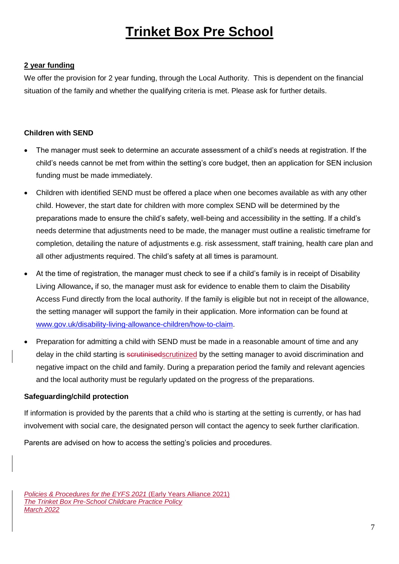#### **2 year funding**

We offer the provision for 2 year funding, through the Local Authority. This is dependent on the financial situation of the family and whether the qualifying criteria is met. Please ask for further details.

### **Children with SEND**

- The manager must seek to determine an accurate assessment of a child's needs at registration. If the child's needs cannot be met from within the setting's core budget, then an application for SEN inclusion funding must be made immediately.
- Children with identified SEND must be offered a place when one becomes available as with any other child. However, the start date for children with more complex SEND will be determined by the preparations made to ensure the child's safety, well-being and accessibility in the setting. If a child's needs determine that adjustments need to be made, the manager must outline a realistic timeframe for completion, detailing the nature of adjustments e.g. risk assessment, staff training, health care plan and all other adjustments required. The child's safety at all times is paramount.
- At the time of registration, the manager must check to see if a child's family is in receipt of Disability Living Allowance**,** if so, the manager must ask for evidence to enable them to claim the Disability Access Fund directly from the local authority. If the family is eligible but not in receipt of the allowance, the setting manager will support the family in their application. More information can be found at [www.gov.uk/disability-living-allowance-children/how-to-claim.](http://www.gov.uk/disability-living-allowance-children/how-to-claim)
- Preparation for admitting a child with SEND must be made in a reasonable amount of time and any delay in the child starting is scrutinisedscrutinized by the setting manager to avoid discrimination and negative impact on the child and family. During a preparation period the family and relevant agencies and the local authority must be regularly updated on the progress of the preparations.

#### **Safeguarding/child protection**

If information is provided by the parents that a child who is starting at the setting is currently, or has had involvement with social care, the designated person will contact the agency to seek further clarification.

Parents are advised on how to access the setting's policies and procedures.

*Policies & Procedures for the EYFS 2021* (Early Years Alliance 2021) *The Trinket Box Pre-School Childcare Practice Policy March 2022*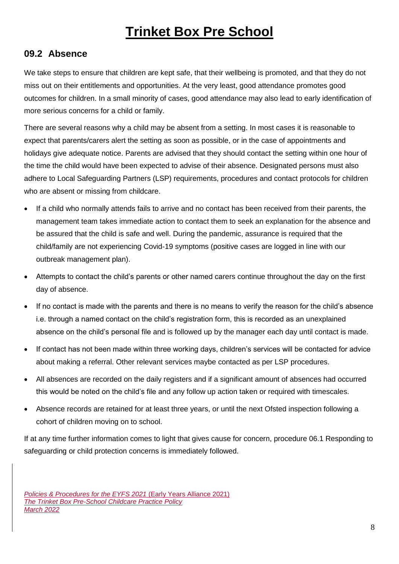## **09.2 Absence**

We take steps to ensure that children are kept safe, that their wellbeing is promoted, and that they do not miss out on their entitlements and opportunities. At the very least, good attendance promotes good outcomes for children. In a small minority of cases, good attendance may also lead to early identification of more serious concerns for a child or family.

There are several reasons why a child may be absent from a setting. In most cases it is reasonable to expect that parents/carers alert the setting as soon as possible, or in the case of appointments and holidays give adequate notice. Parents are advised that they should contact the setting within one hour of the time the child would have been expected to advise of their absence. Designated persons must also adhere to Local Safeguarding Partners (LSP) requirements, procedures and contact protocols for children who are absent or missing from childcare.

- If a child who normally attends fails to arrive and no contact has been received from their parents, the management team takes immediate action to contact them to seek an explanation for the absence and be assured that the child is safe and well. During the pandemic, assurance is required that the child/family are not experiencing Covid-19 symptoms (positive cases are logged in line with our outbreak management plan).
- Attempts to contact the child's parents or other named carers continue throughout the day on the first day of absence.
- If no contact is made with the parents and there is no means to verify the reason for the child's absence i.e. through a named contact on the child's registration form, this is recorded as an unexplained absence on the child's personal file and is followed up by the manager each day until contact is made.
- If contact has not been made within three working days, children's services will be contacted for advice about making a referral. Other relevant services maybe contacted as per LSP procedures.
- All absences are recorded on the daily registers and if a significant amount of absences had occurred this would be noted on the child's file and any follow up action taken or required with timescales.
- Absence records are retained for at least three years, or until the next Ofsted inspection following a cohort of children moving on to school.

If at any time further information comes to light that gives cause for concern, procedure 06.1 Responding to safeguarding or child protection concerns is immediately followed.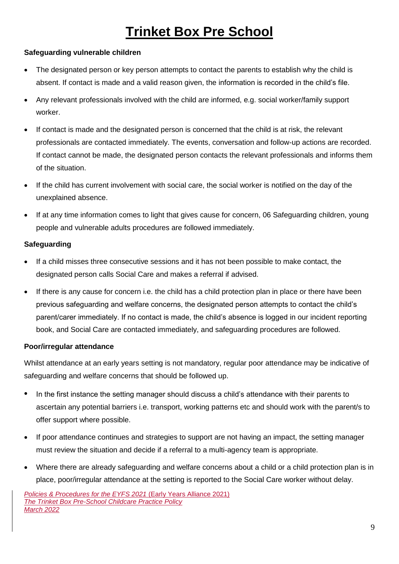### **Safeguarding vulnerable children**

- The designated person or key person attempts to contact the parents to establish why the child is absent. If contact is made and a valid reason given, the information is recorded in the child's file.
- Any relevant professionals involved with the child are informed, e.g. social worker/family support worker.
- If contact is made and the designated person is concerned that the child is at risk, the relevant professionals are contacted immediately. The events, conversation and follow-up actions are recorded. If contact cannot be made, the designated person contacts the relevant professionals and informs them of the situation.
- If the child has current involvement with social care, the social worker is notified on the day of the unexplained absence.
- If at any time information comes to light that gives cause for concern, 06 Safeguarding children, young people and vulnerable adults procedures are followed immediately.

### **Safeguarding**

- If a child misses three consecutive sessions and it has not been possible to make contact, the designated person calls Social Care and makes a referral if advised.
- If there is any cause for concern i.e. the child has a child protection plan in place or there have been previous safeguarding and welfare concerns, the designated person attempts to contact the child's parent/carer immediately. If no contact is made, the child's absence is logged in our incident reporting book, and Social Care are contacted immediately, and safeguarding procedures are followed.

### **Poor/irregular attendance**

Whilst attendance at an early years setting is not mandatory, regular poor attendance may be indicative of safeguarding and welfare concerns that should be followed up.

- In the first instance the setting manager should discuss a child's attendance with their parents to ascertain any potential barriers i.e. transport, working patterns etc and should work with the parent/s to offer support where possible.
- If poor attendance continues and strategies to support are not having an impact, the setting manager must review the situation and decide if a referral to a multi-agency team is appropriate.
- Where there are already safeguarding and welfare concerns about a child or a child protection plan is in place, poor/irregular attendance at the setting is reported to the Social Care worker without delay.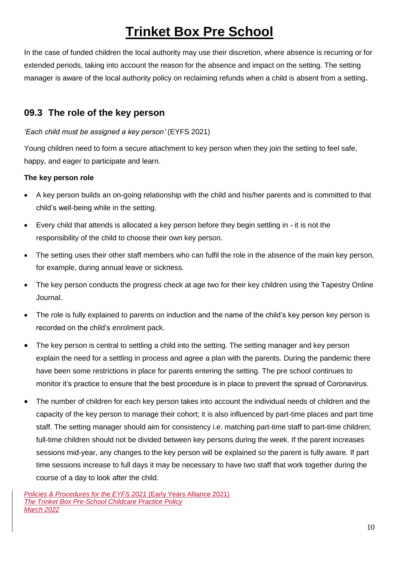In the case of funded children the local authority may use their discretion, where absence is recurring or for extended periods, taking into account the reason for the absence and impact on the setting. The setting manager is aware of the local authority policy on reclaiming refunds when a child is absent from a setting**.**

## **09.3 The role of the key person**

### *'Each child must be assigned a key person'* (EYFS 2021)

Young children need to form a secure attachment to key person when they join the setting to feel safe, happy, and eager to participate and learn.

### **The key person role**

- A key person builds an on-going relationship with the child and his/her parents and is committed to that child's well-being while in the setting.
- Every child that attends is allocated a key person before they begin settling in it is not the responsibility of the child to choose their own key person.
- The setting uses their other staff members who can fulfil the role in the absence of the main key person, for example, during annual leave or sickness.
- The key person conducts the progress check at age two for their key children using the Tapestry Online Journal.
- The role is fully explained to parents on induction and the name of the child's key person key person is recorded on the child's enrolment pack.
- The key person is central to settling a child into the setting. The setting manager and key person explain the need for a settling in process and agree a plan with the parents. During the pandemic there have been some restrictions in place for parents entering the setting. The pre school continues to monitor it's practice to ensure that the best procedure is in place to prevent the spread of Coronavirus.
- The number of children for each key person takes into account the individual needs of children and the capacity of the key person to manage their cohort; it is also influenced by part-time places and part time staff. The setting manager should aim for consistency i.e. matching part-time staff to part-time children; full-time children should not be divided between key persons during the week. If the parent increases sessions mid-year, any changes to the key person will be explained so the parent is fully aware. If part time sessions increase to full days it may be necessary to have two staff that work together during the course of a day to look after the child.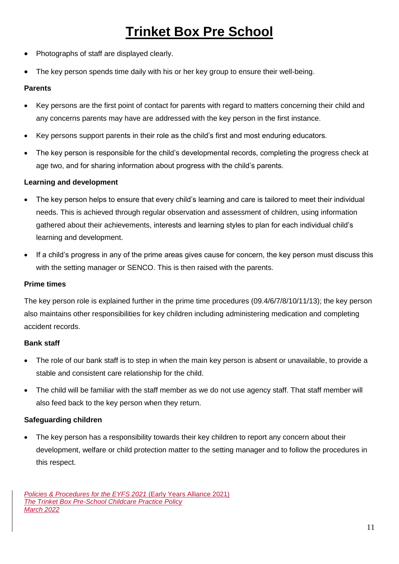- Photographs of staff are displayed clearly.
- The key person spends time daily with his or her key group to ensure their well-being.

### **Parents**

- Key persons are the first point of contact for parents with regard to matters concerning their child and any concerns parents may have are addressed with the key person in the first instance.
- Key persons support parents in their role as the child's first and most enduring educators.
- The key person is responsible for the child's developmental records, completing the progress check at age two, and for sharing information about progress with the child's parents.

#### **Learning and development**

- The key person helps to ensure that every child's learning and care is tailored to meet their individual needs. This is achieved through regular observation and assessment of children, using information gathered about their achievements, interests and learning styles to plan for each individual child's learning and development.
- If a child's progress in any of the prime areas gives cause for concern, the key person must discuss this with the setting manager or SENCO. This is then raised with the parents.

#### **Prime times**

The key person role is explained further in the prime time procedures (09.4/6/7/8/10/11/13); the key person also maintains other responsibilities for key children including administering medication and completing accident records.

#### **Bank staff**

- The role of our bank staff is to step in when the main key person is absent or unavailable, to provide a stable and consistent care relationship for the child.
- The child will be familiar with the staff member as we do not use agency staff. That staff member will also feed back to the key person when they return.

### **Safeguarding children**

 The key person has a responsibility towards their key children to report any concern about their development, welfare or child protection matter to the setting manager and to follow the procedures in this respect.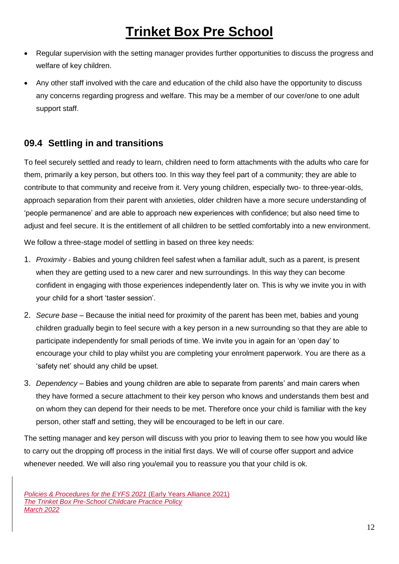- Regular supervision with the setting manager provides further opportunities to discuss the progress and welfare of key children.
- Any other staff involved with the care and education of the child also have the opportunity to discuss any concerns regarding progress and welfare. This may be a member of our cover/one to one adult support staff.

## **09.4 Settling in and transitions**

To feel securely settled and ready to learn, children need to form attachments with the adults who care for them, primarily a key person, but others too. In this way they feel part of a community; they are able to contribute to that community and receive from it. Very young children, especially two- to three-year-olds, approach separation from their parent with anxieties, older children have a more secure understanding of 'people permanence' and are able to approach new experiences with confidence; but also need time to adjust and feel secure. It is the entitlement of all children to be settled comfortably into a new environment.

We follow a three-stage model of settling in based on three key needs:

- 1. *Proximity*  Babies and young children feel safest when a familiar adult, such as a parent, is present when they are getting used to a new carer and new surroundings. In this way they can become confident in engaging with those experiences independently later on. This is why we invite you in with your child for a short 'taster session'.
- 2. *Secure base* Because the initial need for proximity of the parent has been met, babies and young children gradually begin to feel secure with a key person in a new surrounding so that they are able to participate independently for small periods of time. We invite you in again for an 'open day' to encourage your child to play whilst you are completing your enrolment paperwork. You are there as a 'safety net' should any child be upset.
- 3. *Dependency*  Babies and young children are able to separate from parents' and main carers when they have formed a secure attachment to their key person who knows and understands them best and on whom they can depend for their needs to be met. Therefore once your child is familiar with the key person, other staff and setting, they will be encouraged to be left in our care.

The setting manager and key person will discuss with you prior to leaving them to see how you would like to carry out the dropping off process in the initial first days. We will of course offer support and advice whenever needed. We will also ring you/email you to reassure you that your child is ok.

*Policies & Procedures for the EYFS 2021* (Early Years Alliance 2021) *The Trinket Box Pre-School Childcare Practice Policy March 2022*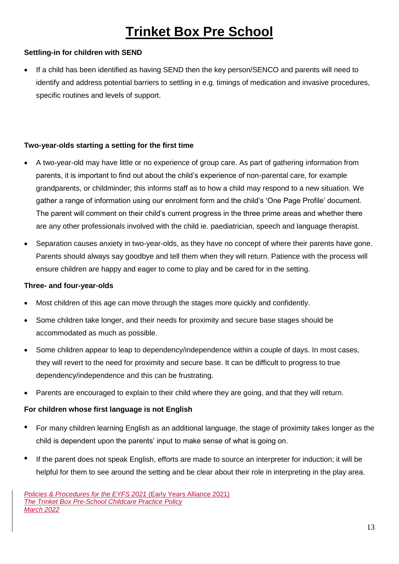#### **Settling-in for children with SEND**

 If a child has been identified as having SEND then the key person/SENCO and parents will need to identify and address potential barriers to settling in e.g. timings of medication and invasive procedures, specific routines and levels of support.

#### **Two-year-olds starting a setting for the first time**

- A two-year-old may have little or no experience of group care. As part of gathering information from parents, it is important to find out about the child's experience of non-parental care, for example grandparents, or childminder; this informs staff as to how a child may respond to a new situation. We gather a range of information using our enrolment form and the child's 'One Page Profile' document. The parent will comment on their child's current progress in the three prime areas and whether there are any other professionals involved with the child ie. paediatrician, speech and language therapist.
- Separation causes anxiety in two-year-olds, as they have no concept of where their parents have gone. Parents should always say goodbye and tell them when they will return. Patience with the process will ensure children are happy and eager to come to play and be cared for in the setting.

#### **Three- and four-year-olds**

- Most children of this age can move through the stages more quickly and confidently.
- Some children take longer, and their needs for proximity and secure base stages should be accommodated as much as possible.
- Some children appear to leap to dependency/independence within a couple of days. In most cases, they will revert to the need for proximity and secure base. It can be difficult to progress to true dependency/independence and this can be frustrating.
- Parents are encouraged to explain to their child where they are going, and that they will return.

#### **For children whose first language is not English**

- For many children learning English as an additional language, the stage of proximity takes longer as the child is dependent upon the parents' input to make sense of what is going on.
- If the parent does not speak English, efforts are made to source an interpreter for induction; it will be helpful for them to see around the setting and be clear about their role in interpreting in the play area.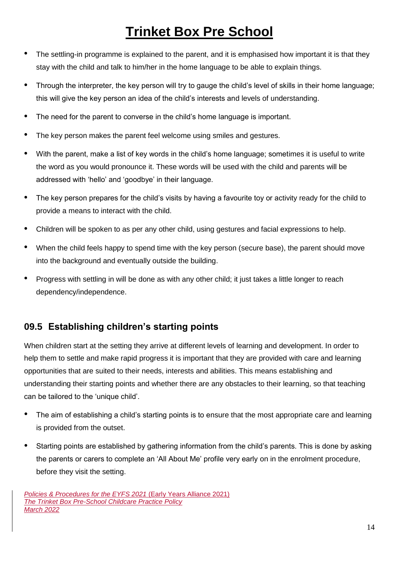- The settling-in programme is explained to the parent, and it is emphasised how important it is that they stay with the child and talk to him/her in the home language to be able to explain things.
- Through the interpreter, the key person will try to gauge the child's level of skills in their home language; this will give the key person an idea of the child's interests and levels of understanding.
- The need for the parent to converse in the child's home language is important.
- The key person makes the parent feel welcome using smiles and gestures.
- With the parent, make a list of key words in the child's home language; sometimes it is useful to write the word as you would pronounce it. These words will be used with the child and parents will be addressed with 'hello' and 'goodbye' in their language.
- The key person prepares for the child's visits by having a favourite toy or activity ready for the child to provide a means to interact with the child.
- Children will be spoken to as per any other child, using gestures and facial expressions to help.
- When the child feels happy to spend time with the key person (secure base), the parent should move into the background and eventually outside the building.
- Progress with settling in will be done as with any other child; it just takes a little longer to reach dependency/independence.

## **09.5 Establishing children's starting points**

When children start at the setting they arrive at different levels of learning and development. In order to help them to settle and make rapid progress it is important that they are provided with care and learning opportunities that are suited to their needs, interests and abilities. This means establishing and understanding their starting points and whether there are any obstacles to their learning, so that teaching can be tailored to the 'unique child'.

- The aim of establishing a child's starting points is to ensure that the most appropriate care and learning is provided from the outset.
- Starting points are established by gathering information from the child's parents. This is done by asking the parents or carers to complete an 'All About Me' profile very early on in the enrolment procedure, before they visit the setting.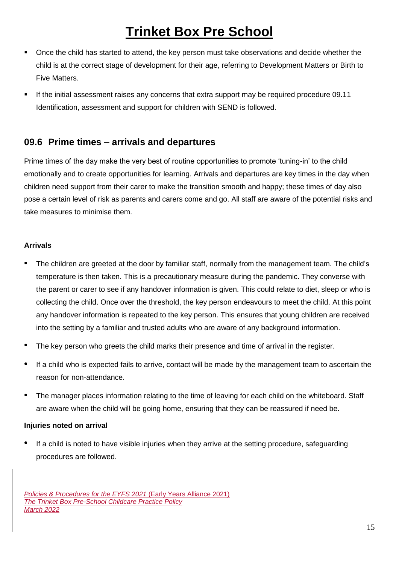- Once the child has started to attend, the key person must take observations and decide whether the child is at the correct stage of development for their age, referring to Development Matters or Birth to Five Matters.
- If the initial assessment raises any concerns that extra support may be required procedure 09.11 Identification, assessment and support for children with SEND is followed.

### **09.6 Prime times – arrivals and departures**

Prime times of the day make the very best of routine opportunities to promote 'tuning-in' to the child emotionally and to create opportunities for learning. Arrivals and departures are key times in the day when children need support from their carer to make the transition smooth and happy; these times of day also pose a certain level of risk as parents and carers come and go. All staff are aware of the potential risks and take measures to minimise them.

#### **Arrivals**

- The children are greeted at the door by familiar staff, normally from the management team. The child's temperature is then taken. This is a precautionary measure during the pandemic. They converse with the parent or carer to see if any handover information is given. This could relate to diet, sleep or who is collecting the child. Once over the threshold, the key person endeavours to meet the child. At this point any handover information is repeated to the key person. This ensures that young children are received into the setting by a familiar and trusted adults who are aware of any background information.
- The key person who greets the child marks their presence and time of arrival in the register.
- If a child who is expected fails to arrive, contact will be made by the management team to ascertain the reason for non-attendance.
- The manager places information relating to the time of leaving for each child on the whiteboard. Staff are aware when the child will be going home, ensuring that they can be reassured if need be.

#### **Injuries noted on arrival**

 If a child is noted to have visible injuries when they arrive at the setting procedure, safeguarding procedures are followed.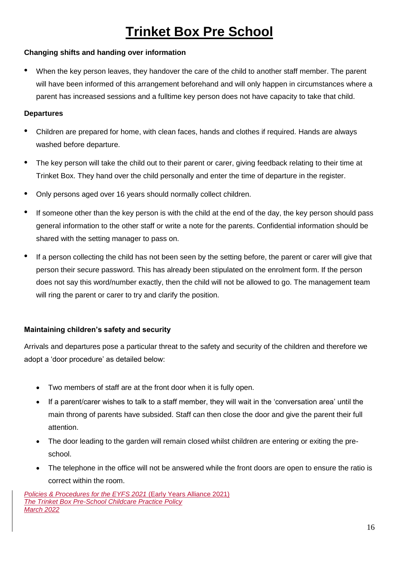### **Changing shifts and handing over information**

 When the key person leaves, they handover the care of the child to another staff member. The parent will have been informed of this arrangement beforehand and will only happen in circumstances where a parent has increased sessions and a fulltime key person does not have capacity to take that child.

### **Departures**

- Children are prepared for home, with clean faces, hands and clothes if required. Hands are always washed before departure.
- The key person will take the child out to their parent or carer, giving feedback relating to their time at Trinket Box. They hand over the child personally and enter the time of departure in the register.
- Only persons aged over 16 years should normally collect children.
- If someone other than the key person is with the child at the end of the day, the key person should pass general information to the other staff or write a note for the parents. Confidential information should be shared with the setting manager to pass on.
- If a person collecting the child has not been seen by the setting before, the parent or carer will give that person their secure password. This has already been stipulated on the enrolment form. If the person does not say this word/number exactly, then the child will not be allowed to go. The management team will ring the parent or carer to try and clarify the position.

### **Maintaining children's safety and security**

Arrivals and departures pose a particular threat to the safety and security of the children and therefore we adopt a 'door procedure' as detailed below:

- Two members of staff are at the front door when it is fully open.
- If a parent/carer wishes to talk to a staff member, they will wait in the 'conversation area' until the main throng of parents have subsided. Staff can then close the door and give the parent their full attention.
- The door leading to the garden will remain closed whilst children are entering or exiting the preschool.
- The telephone in the office will not be answered while the front doors are open to ensure the ratio is correct within the room.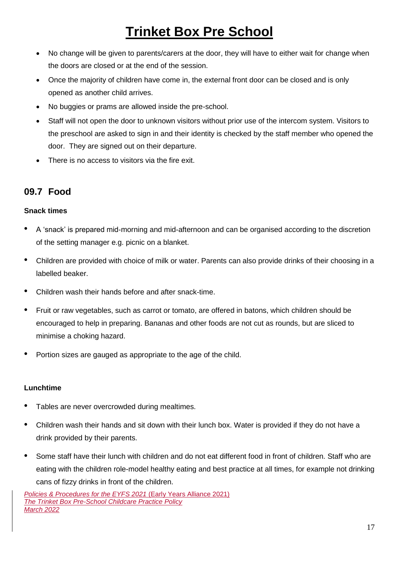- No change will be given to parents/carers at the door, they will have to either wait for change when the doors are closed or at the end of the session.
- Once the majority of children have come in, the external front door can be closed and is only opened as another child arrives.
- No buggies or prams are allowed inside the pre-school.
- Staff will not open the door to unknown visitors without prior use of the intercom system. Visitors to the preschool are asked to sign in and their identity is checked by the staff member who opened the door. They are signed out on their departure.
- There is no access to visitors via the fire exit.

## **09.7 Food**

### **Snack times**

- A 'snack' is prepared mid-morning and mid-afternoon and can be organised according to the discretion of the setting manager e.g. picnic on a blanket.
- Children are provided with choice of milk or water. Parents can also provide drinks of their choosing in a labelled beaker.
- Children wash their hands before and after snack-time.
- Fruit or raw vegetables, such as carrot or tomato, are offered in batons, which children should be encouraged to help in preparing. Bananas and other foods are not cut as rounds, but are sliced to minimise a choking hazard.
- Portion sizes are gauged as appropriate to the age of the child.

#### **Lunchtime**

- Tables are never overcrowded during mealtimes.
- Children wash their hands and sit down with their lunch box. Water is provided if they do not have a drink provided by their parents.
- Some staff have their lunch with children and do not eat different food in front of children. Staff who are eating with the children role-model healthy eating and best practice at all times, for example not drinking cans of fizzy drinks in front of the children.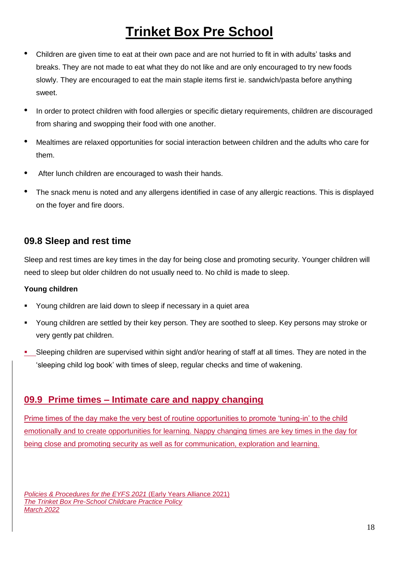- Children are given time to eat at their own pace and are not hurried to fit in with adults' tasks and breaks. They are not made to eat what they do not like and are only encouraged to try new foods slowly. They are encouraged to eat the main staple items first ie. sandwich/pasta before anything sweet.
- In order to protect children with food allergies or specific dietary requirements, children are discouraged from sharing and swopping their food with one another.
- Mealtimes are relaxed opportunities for social interaction between children and the adults who care for them.
- After lunch children are encouraged to wash their hands.
- The snack menu is noted and any allergens identified in case of any allergic reactions. This is displayed on the foyer and fire doors.

### **09.8 Sleep and rest time**

Sleep and rest times are key times in the day for being close and promoting security. Younger children will need to sleep but older children do not usually need to. No child is made to sleep.

#### **Young children**

- Young children are laid down to sleep if necessary in a quiet area
- Young children are settled by their key person. They are soothed to sleep. Key persons may stroke or very gently pat children.
- Sleeping children are supervised within sight and/or hearing of staff at all times. They are noted in the 'sleeping child log book' with times of sleep, regular checks and time of wakening.

## **09.9 Prime times – Intimate care and nappy changing**

Prime times of the day make the very best of routine opportunities to promote 'tuning-in' to the child emotionally and to create opportunities for learning. Nappy changing times are key times in the day for being close and promoting security as well as for communication, exploration and learning.

*Policies & Procedures for the EYFS 2021* (Early Years Alliance 2021) *The Trinket Box Pre-School Childcare Practice Policy March 2022*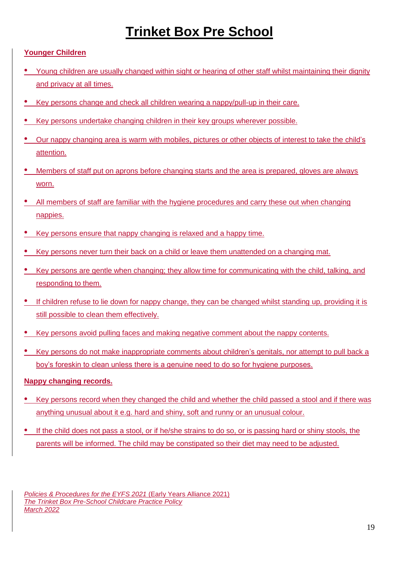### **Younger Children**

- Young children are usually changed within sight or hearing of other staff whilst maintaining their dignity and privacy at all times.
- Key persons change and check all children wearing a nappy/pull-up in their care.
- Key persons undertake changing children in their key groups wherever possible.
- Our nappy changing area is warm with mobiles, pictures or other objects of interest to take the child's attention.
- Members of staff put on aprons before changing starts and the area is prepared, gloves are always worn.
- All members of staff are familiar with the hygiene procedures and carry these out when changing nappies.
- Key persons ensure that nappy changing is relaxed and a happy time.
- Key persons never turn their back on a child or leave them unattended on a changing mat.
- Key persons are gentle when changing; they allow time for communicating with the child, talking, and responding to them.
- If children refuse to lie down for nappy change, they can be changed whilst standing up, providing it is still possible to clean them effectively.
- Key persons avoid pulling faces and making negative comment about the nappy contents.
- Key persons do not make inappropriate comments about children's genitals, nor attempt to pull back a boy's foreskin to clean unless there is a genuine need to do so for hygiene purposes.

### **Nappy changing records.**

- Key persons record when they changed the child and whether the child passed a stool and if there was anything unusual about it e.g. hard and shiny, soft and runny or an unusual colour.
- If the child does not pass a stool, or if he/she strains to do so, or is passing hard or shiny stools, the parents will be informed. The child may be constipated so their diet may need to be adjusted.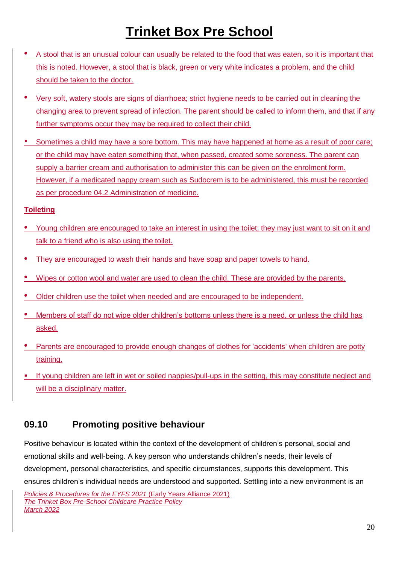- A stool that is an unusual colour can usually be related to the food that was eaten, so it is important that this is noted. However, a stool that is black, green or very white indicates a problem, and the child should be taken to the doctor.
- Very soft, watery stools are signs of diarrhoea; strict hygiene needs to be carried out in cleaning the changing area to prevent spread of infection. The parent should be called to inform them, and that if any further symptoms occur they may be required to collect their child.
- Sometimes a child may have a sore bottom. This may have happened at home as a result of poor care; or the child may have eaten something that, when passed, created some soreness. The parent can supply a barrier cream and authorisation to administer this can be given on the enrolment form. However, if a medicated nappy cream such as Sudocrem is to be administered, this must be recorded as per procedure 04.2 Administration of medicine.

### **Toileting**

- Young children are encouraged to take an interest in using the toilet; they may just want to sit on it and talk to a friend who is also using the toilet.
- They are encouraged to wash their hands and have soap and paper towels to hand.
- Wipes or cotton wool and water are used to clean the child. These are provided by the parents.
- Older children use the toilet when needed and are encouraged to be independent.
- Members of staff do not wipe older children's bottoms unless there is a need, or unless the child has asked.
- Parents are encouraged to provide enough changes of clothes for 'accidents' when children are potty training.
- If young children are left in wet or soiled nappies/pull-ups in the setting, this may constitute neglect and will be a disciplinary matter.

### **09.10 Promoting positive behaviour**

Positive behaviour is located within the context of the development of children's personal, social and emotional skills and well-being. A key person who understands children's needs, their levels of development, personal characteristics, and specific circumstances, supports this development. This ensures children's individual needs are understood and supported. Settling into a new environment is an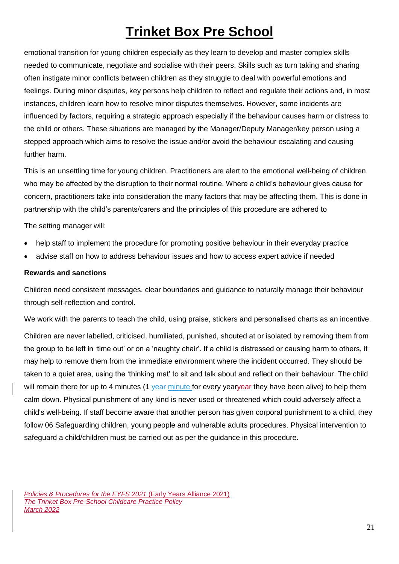emotional transition for young children especially as they learn to develop and master complex skills needed to communicate, negotiate and socialise with their peers. Skills such as turn taking and sharing often instigate minor conflicts between children as they struggle to deal with powerful emotions and feelings. During minor disputes, key persons help children to reflect and regulate their actions and, in most instances, children learn how to resolve minor disputes themselves. However, some incidents are influenced by factors, requiring a strategic approach especially if the behaviour causes harm or distress to the child or others. These situations are managed by the Manager/Deputy Manager/key person using a stepped approach which aims to resolve the issue and/or avoid the behaviour escalating and causing further harm.

This is an unsettling time for young children. Practitioners are alert to the emotional well-being of children who may be affected by the disruption to their normal routine. Where a child's behaviour gives cause for concern, practitioners take into consideration the many factors that may be affecting them. This is done in partnership with the child's parents/carers and the principles of this procedure are adhered to

The setting manager will:

- help staff to implement the procedure for promoting positive behaviour in their everyday practice
- advise staff on how to address behaviour issues and how to access expert advice if needed

#### **Rewards and sanctions**

Children need consistent messages, clear boundaries and guidance to naturally manage their behaviour through self-reflection and control.

We work with the parents to teach the child, using praise, stickers and personalised charts as an incentive.

Children are never labelled, criticised, humiliated, punished, shouted at or isolated by removing them from the group to be left in 'time out' or on a 'naughty chair'. If a child is distressed or causing harm to others, it may help to remove them from the immediate environment where the incident occurred. They should be taken to a quiet area, using the 'thinking mat' to sit and talk about and reflect on their behaviour. The child will remain there for up to 4 minutes (1 year-minute for every year year they have been alive) to help them calm down. Physical punishment of any kind is never used or threatened which could adversely affect a child's well-being. If staff become aware that another person has given corporal punishment to a child, they follow 06 Safeguarding children, young people and vulnerable adults procedures. Physical intervention to safeguard a child/children must be carried out as per the guidance in this procedure.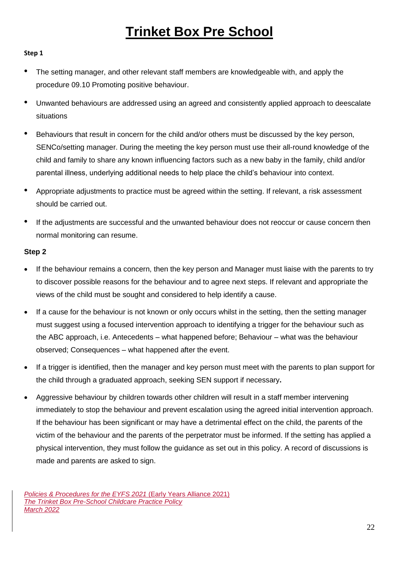#### **Step 1**

- The setting manager, and other relevant staff members are knowledgeable with, and apply the procedure 09.10 Promoting positive behaviour.
- Unwanted behaviours are addressed using an agreed and consistently applied approach to deescalate situations
- Behaviours that result in concern for the child and/or others must be discussed by the key person, SENCo/setting manager. During the meeting the key person must use their all-round knowledge of the child and family to share any known influencing factors such as a new baby in the family, child and/or parental illness, underlying additional needs to help place the child's behaviour into context.
- Appropriate adjustments to practice must be agreed within the setting. If relevant, a risk assessment should be carried out.
- If the adjustments are successful and the unwanted behaviour does not reoccur or cause concern then normal monitoring can resume.

#### **Step 2**

- If the behaviour remains a concern, then the key person and Manager must liaise with the parents to try to discover possible reasons for the behaviour and to agree next steps. If relevant and appropriate the views of the child must be sought and considered to help identify a cause.
- If a cause for the behaviour is not known or only occurs whilst in the setting, then the setting manager must suggest using a focused intervention approach to identifying a trigger for the behaviour such as the ABC approach, i.e. Antecedents – what happened before; Behaviour – what was the behaviour observed; Consequences – what happened after the event.
- If a trigger is identified, then the manager and key person must meet with the parents to plan support for the child through a graduated approach, seeking SEN support if necessary**.**
- Aggressive behaviour by children towards other children will result in a staff member intervening immediately to stop the behaviour and prevent escalation using the agreed initial intervention approach. If the behaviour has been significant or may have a detrimental effect on the child, the parents of the victim of the behaviour and the parents of the perpetrator must be informed. If the setting has applied a physical intervention, they must follow the guidance as set out in this policy. A record of discussions is made and parents are asked to sign.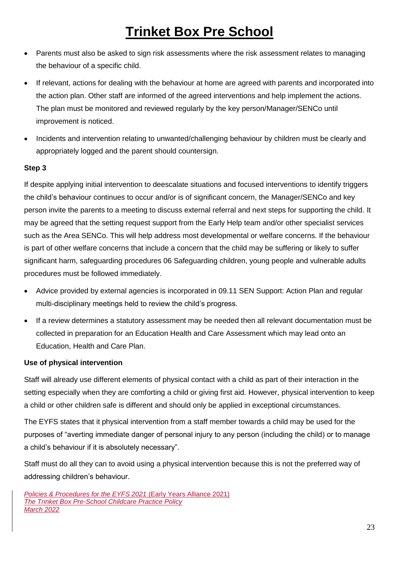- Parents must also be asked to sign risk assessments where the risk assessment relates to managing the behaviour of a specific child.
- If relevant, actions for dealing with the behaviour at home are agreed with parents and incorporated into the action plan. Other staff are informed of the agreed interventions and help implement the actions. The plan must be monitored and reviewed regularly by the key person/Manager/SENCo until improvement is noticed.
- Incidents and intervention relating to unwanted/challenging behaviour by children must be clearly and appropriately logged and the parent should countersign.

#### **Step 3**

If despite applying initial intervention to deescalate situations and focused interventions to identify triggers the child's behaviour continues to occur and/or is of significant concern, the Manager/SENCo and key person invite the parents to a meeting to discuss external referral and next steps for supporting the child. It may be agreed that the setting request support from the Early Help team and/or other specialist services such as the Area SENCo. This will help address most developmental or welfare concerns. If the behaviour is part of other welfare concerns that include a concern that the child may be suffering or likely to suffer significant harm, safeguarding procedures 06 Safeguarding children, young people and vulnerable adults procedures must be followed immediately.

- Advice provided by external agencies is incorporated in 09.11 SEN Support: Action Plan and regular multi-disciplinary meetings held to review the child's progress.
- If a review determines a statutory assessment may be needed then all relevant documentation must be collected in preparation for an Education Health and Care Assessment which may lead onto an Education, Health and Care Plan.

### **Use of physical intervention**

Staff will already use different elements of physical contact with a child as part of their interaction in the setting especially when they are comforting a child or giving first aid. However, physical intervention to keep a child or other children safe is different and should only be applied in exceptional circumstances.

The EYFS states that it physical intervention from a staff member towards a child may be used for the purposes of "averting immediate danger of personal injury to any person (including the child) or to manage a child's behaviour if it is absolutely necessary".

Staff must do all they can to avoid using a physical intervention because this is not the preferred way of addressing children's behaviour.

*Policies & Procedures for the EYFS 2021* (Early Years Alliance 2021) *The Trinket Box Pre-School Childcare Practice Policy March 2022*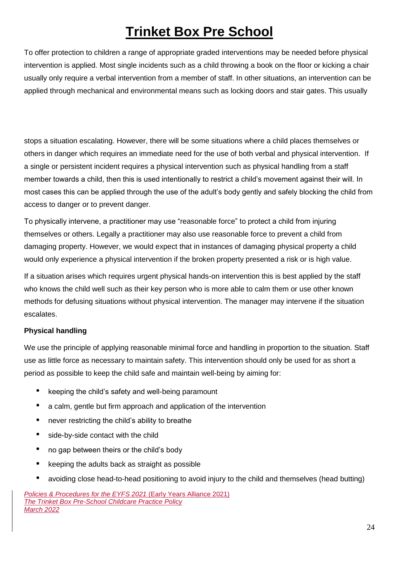To offer protection to children a range of appropriate graded interventions may be needed before physical intervention is applied. Most single incidents such as a child throwing a book on the floor or kicking a chair usually only require a verbal intervention from a member of staff. In other situations, an intervention can be applied through mechanical and environmental means such as locking doors and stair gates. This usually

stops a situation escalating. However, there will be some situations where a child places themselves or others in danger which requires an immediate need for the use of both verbal and physical intervention. If a single or persistent incident requires a physical intervention such as physical handling from a staff member towards a child, then this is used intentionally to restrict a child's movement against their will. In most cases this can be applied through the use of the adult's body gently and safely blocking the child from access to danger or to prevent danger.

To physically intervene, a practitioner may use "reasonable force" to protect a child from injuring themselves or others. Legally a practitioner may also use reasonable force to prevent a child from damaging property. However, we would expect that in instances of damaging physical property a child would only experience a physical intervention if the broken property presented a risk or is high value.

If a situation arises which requires urgent physical hands-on intervention this is best applied by the staff who knows the child well such as their key person who is more able to calm them or use other known methods for defusing situations without physical intervention. The manager may intervene if the situation escalates.

### **Physical handling**

We use the principle of applying reasonable minimal force and handling in proportion to the situation. Staff use as little force as necessary to maintain safety. This intervention should only be used for as short a period as possible to keep the child safe and maintain well-being by aiming for:

- keeping the child's safety and well-being paramount
- a calm, gentle but firm approach and application of the intervention
- never restricting the child's ability to breathe
- side-by-side contact with the child
- no gap between theirs or the child's body
- keeping the adults back as straight as possible
- avoiding close head-to-head positioning to avoid injury to the child and themselves (head butting)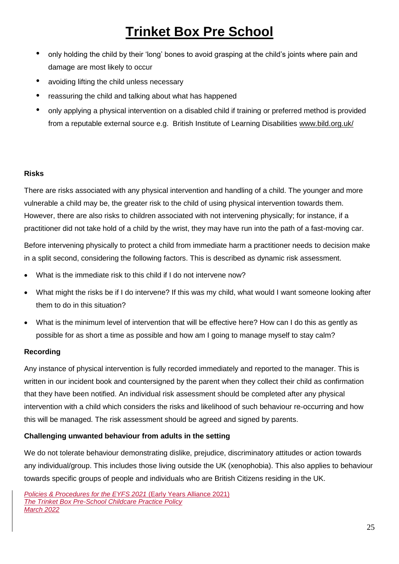- only holding the child by their 'long' bones to avoid grasping at the child's joints where pain and damage are most likely to occur
- avoiding lifting the child unless necessary
- reassuring the child and talking about what has happened
- only applying a physical intervention on a disabled child if training or preferred method is provided from a reputable external source e.g. British Institute of Learning Disabilities [www.bild.org.uk/](http://www.bild.org.uk/)

### **Risks**

There are risks associated with any physical intervention and handling of a child. The younger and more vulnerable a child may be, the greater risk to the child of using physical intervention towards them. However, there are also risks to children associated with not intervening physically; for instance, if a practitioner did not take hold of a child by the wrist, they may have run into the path of a fast-moving car.

Before intervening physically to protect a child from immediate harm a practitioner needs to decision make in a split second, considering the following factors. This is described as dynamic risk assessment.

- What is the immediate risk to this child if I do not intervene now?
- What might the risks be if I do intervene? If this was my child, what would I want someone looking after them to do in this situation?
- What is the minimum level of intervention that will be effective here? How can I do this as gently as possible for as short a time as possible and how am I going to manage myself to stay calm?

### **Recording**

Any instance of physical intervention is fully recorded immediately and reported to the manager. This is written in our incident book and countersigned by the parent when they collect their child as confirmation that they have been notified. An individual risk assessment should be completed after any physical intervention with a child which considers the risks and likelihood of such behaviour re-occurring and how this will be managed. The risk assessment should be agreed and signed by parents.

#### **Challenging unwanted behaviour from adults in the setting**

We do not tolerate behaviour demonstrating dislike, prejudice, discriminatory attitudes or action towards any individual/group. This includes those living outside the UK (xenophobia). This also applies to behaviour towards specific groups of people and individuals who are British Citizens residing in the UK.

*Policies & Procedures for the EYFS 2021* (Early Years Alliance 2021) *The Trinket Box Pre-School Childcare Practice Policy March 2022*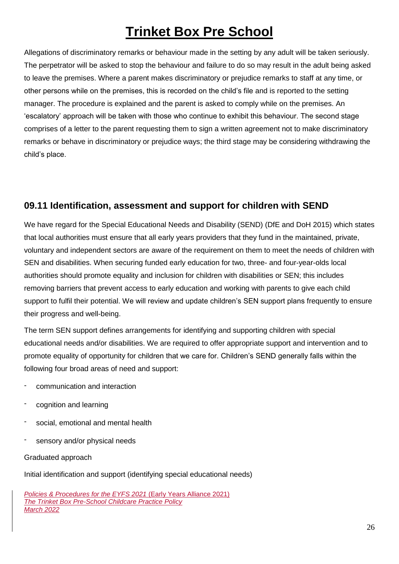Allegations of discriminatory remarks or behaviour made in the setting by any adult will be taken seriously. The perpetrator will be asked to stop the behaviour and failure to do so may result in the adult being asked to leave the premises. Where a parent makes discriminatory or prejudice remarks to staff at any time, or other persons while on the premises, this is recorded on the child's file and is reported to the setting manager. The procedure is explained and the parent is asked to comply while on the premises. An 'escalatory' approach will be taken with those who continue to exhibit this behaviour. The second stage comprises of a letter to the parent requesting them to sign a written agreement not to make discriminatory remarks or behave in discriminatory or prejudice ways; the third stage may be considering withdrawing the child's place.

## **09.11 Identification, assessment and support for children with SEND**

We have regard for the Special Educational Needs and Disability (SEND) (DfE and DoH 2015) which states that local authorities must ensure that all early years providers that they fund in the maintained, private, voluntary and independent sectors are aware of the requirement on them to meet the needs of children with SEN and disabilities. When securing funded early education for two, three- and four-year-olds local authorities should promote equality and inclusion for children with disabilities or SEN; this includes removing barriers that prevent access to early education and working with parents to give each child support to fulfil their potential. We will review and update children's SEN support plans frequently to ensure their progress and well-being.

The term SEN support defines arrangements for identifying and supporting children with special educational needs and/or disabilities. We are required to offer appropriate support and intervention and to promote equality of opportunity for children that we care for. Children's SEND generally falls within the following four broad areas of need and support:

- communication and interaction
- cognition and learning
- social, emotional and mental health
- sensory and/or physical needs

Graduated approach

Initial identification and support (identifying special educational needs)

*Policies & Procedures for the EYFS 2021* (Early Years Alliance 2021) *The Trinket Box Pre-School Childcare Practice Policy March 2022*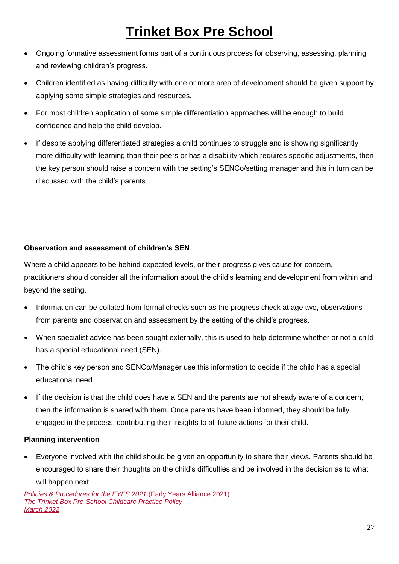- Ongoing formative assessment forms part of a continuous process for observing, assessing, planning and reviewing children's progress.
- Children identified as having difficulty with one or more area of development should be given support by applying some simple strategies and resources.
- For most children application of some simple differentiation approaches will be enough to build confidence and help the child develop.
- If despite applying differentiated strategies a child continues to struggle and is showing significantly more difficulty with learning than their peers or has a disability which requires specific adjustments, then the key person should raise a concern with the setting's SENCo/setting manager and this in turn can be discussed with the child's parents.

### **Observation and assessment of children's SEN**

Where a child appears to be behind expected levels, or their progress gives cause for concern, practitioners should consider all the information about the child's learning and development from within and beyond the setting.

- Information can be collated from formal checks such as the progress check at age two, observations from parents and observation and assessment by the setting of the child's progress.
- When specialist advice has been sought externally, this is used to help determine whether or not a child has a special educational need (SEN).
- The child's key person and SENCo/Manager use this information to decide if the child has a special educational need.
- If the decision is that the child does have a SEN and the parents are not already aware of a concern, then the information is shared with them. Once parents have been informed, they should be fully engaged in the process, contributing their insights to all future actions for their child.

### **Planning intervention**

 Everyone involved with the child should be given an opportunity to share their views. Parents should be encouraged to share their thoughts on the child's difficulties and be involved in the decision as to what will happen next.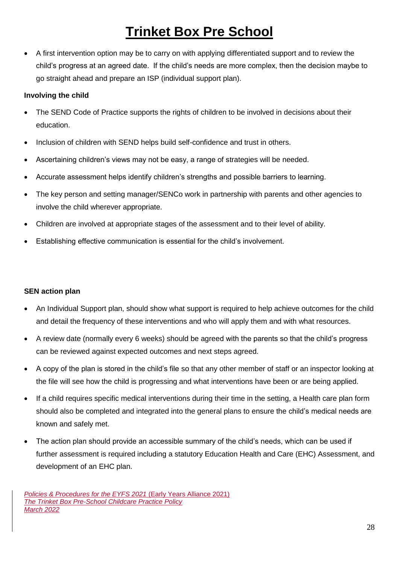A first intervention option may be to carry on with applying differentiated support and to review the child's progress at an agreed date. If the child's needs are more complex, then the decision maybe to go straight ahead and prepare an ISP (individual support plan).

#### **Involving the child**

- The SEND Code of Practice supports the rights of children to be involved in decisions about their education.
- Inclusion of children with SEND helps build self-confidence and trust in others.
- Ascertaining children's views may not be easy, a range of strategies will be needed.
- Accurate assessment helps identify children's strengths and possible barriers to learning.
- The key person and setting manager/SENCo work in partnership with parents and other agencies to involve the child wherever appropriate.
- Children are involved at appropriate stages of the assessment and to their level of ability.
- Establishing effective communication is essential for the child's involvement.

#### **SEN action plan**

- An Individual Support plan, should show what support is required to help achieve outcomes for the child and detail the frequency of these interventions and who will apply them and with what resources.
- A review date (normally every 6 weeks) should be agreed with the parents so that the child's progress can be reviewed against expected outcomes and next steps agreed.
- A copy of the plan is stored in the child's file so that any other member of staff or an inspector looking at the file will see how the child is progressing and what interventions have been or are being applied.
- If a child requires specific medical interventions during their time in the setting, a Health care plan form should also be completed and integrated into the general plans to ensure the child's medical needs are known and safely met.
- The action plan should provide an accessible summary of the child's needs, which can be used if further assessment is required including a statutory Education Health and Care (EHC) Assessment, and development of an EHC plan.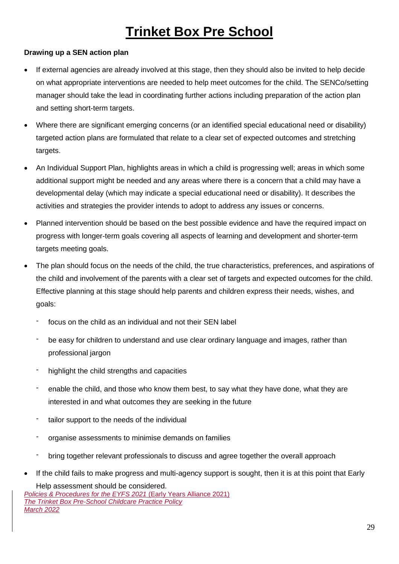#### **Drawing up a SEN action plan**

- If external agencies are already involved at this stage, then they should also be invited to help decide on what appropriate interventions are needed to help meet outcomes for the child. The SENCo/setting manager should take the lead in coordinating further actions including preparation of the action plan and setting short-term targets.
- Where there are significant emerging concerns (or an identified special educational need or disability) targeted action plans are formulated that relate to a clear set of expected outcomes and stretching targets.
- An Individual Support Plan, highlights areas in which a child is progressing well; areas in which some additional support might be needed and any areas where there is a concern that a child may have a developmental delay (which may indicate a special educational need or disability). It describes the activities and strategies the provider intends to adopt to address any issues or concerns.
- Planned intervention should be based on the best possible evidence and have the required impact on progress with longer-term goals covering all aspects of learning and development and shorter-term targets meeting goals.
- The plan should focus on the needs of the child, the true characteristics, preferences, and aspirations of the child and involvement of the parents with a clear set of targets and expected outcomes for the child. Effective planning at this stage should help parents and children express their needs, wishes, and goals:
	- focus on the child as an individual and not their SFN label
	- be easy for children to understand and use clear ordinary language and images, rather than professional jargon
	- highlight the child strengths and capacities
	- enable the child, and those who know them best, to say what they have done, what they are interested in and what outcomes they are seeking in the future
	- tailor support to the needs of the individual
	- organise assessments to minimise demands on families
	- bring together relevant professionals to discuss and agree together the overall approach
- If the child fails to make progress and multi-agency support is sought, then it is at this point that Early Help assessment should be considered.

*Policies & Procedures for the EYFS 2021* (Early Years Alliance 2021) *The Trinket Box Pre-School Childcare Practice Policy March 2022*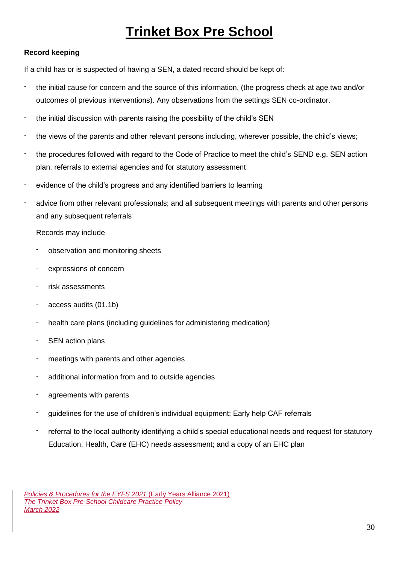### **Record keeping**

If a child has or is suspected of having a SEN, a dated record should be kept of:

- the initial cause for concern and the source of this information, (the progress check at age two and/or outcomes of previous interventions). Any observations from the settings SEN co-ordinator.
- the initial discussion with parents raising the possibility of the child's SEN
- the views of the parents and other relevant persons including, wherever possible, the child's views;
- the procedures followed with regard to the Code of Practice to meet the child's SEND e.g. SEN action plan, referrals to external agencies and for statutory assessment
- evidence of the child's progress and any identified barriers to learning
- advice from other relevant professionals; and all subsequent meetings with parents and other persons and any subsequent referrals

Records may include

- observation and monitoring sheets
- expressions of concern
- risk assessments
- access audits (01.1b)
- health care plans (including guidelines for administering medication)
- SEN action plans
- meetings with parents and other agencies
- additional information from and to outside agencies
- agreements with parents
- guidelines for the use of children's individual equipment; Early help CAF referrals
- referral to the local authority identifying a child's special educational needs and request for statutory Education, Health, Care (EHC) needs assessment; and a copy of an EHC plan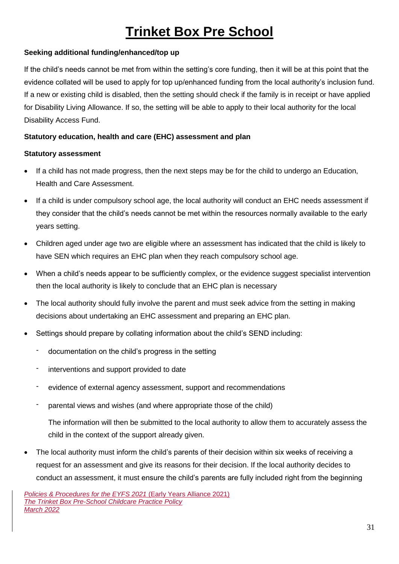### **Seeking additional funding/enhanced/top up**

If the child's needs cannot be met from within the setting's core funding, then it will be at this point that the evidence collated will be used to apply for top up/enhanced funding from the local authority's inclusion fund. If a new or existing child is disabled, then the setting should check if the family is in receipt or have applied for Disability Living Allowance. If so, the setting will be able to apply to their local authority for the local Disability Access Fund.

### **Statutory education, health and care (EHC) assessment and plan**

### **Statutory assessment**

- If a child has not made progress, then the next steps may be for the child to undergo an Education, Health and Care Assessment.
- If a child is under compulsory school age, the local authority will conduct an EHC needs assessment if they consider that the child's needs cannot be met within the resources normally available to the early years setting.
- Children aged under age two are eligible where an assessment has indicated that the child is likely to have SEN which requires an EHC plan when they reach compulsory school age.
- When a child's needs appear to be sufficiently complex, or the evidence suggest specialist intervention then the local authority is likely to conclude that an EHC plan is necessary
- The local authority should fully involve the parent and must seek advice from the setting in making decisions about undertaking an EHC assessment and preparing an EHC plan.
- Settings should prepare by collating information about the child's SEND including:
	- documentation on the child's progress in the setting
	- interventions and support provided to date
	- evidence of external agency assessment, support and recommendations
	- parental views and wishes (and where appropriate those of the child)

The information will then be submitted to the local authority to allow them to accurately assess the child in the context of the support already given.

 The local authority must inform the child's parents of their decision within six weeks of receiving a request for an assessment and give its reasons for their decision. If the local authority decides to conduct an assessment, it must ensure the child's parents are fully included right from the beginning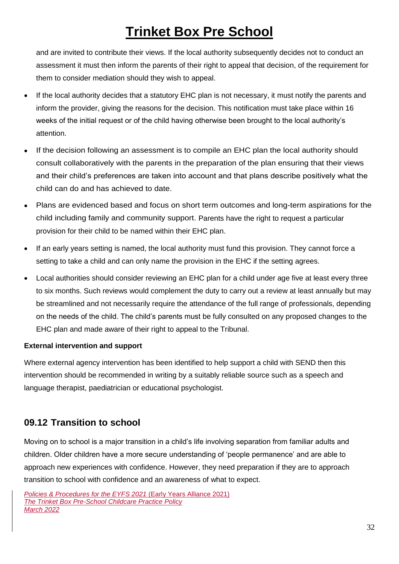and are invited to contribute their views. If the local authority subsequently decides not to conduct an assessment it must then inform the parents of their right to appeal that decision, of the requirement for them to consider mediation should they wish to appeal.

- If the local authority decides that a statutory EHC plan is not necessary, it must notify the parents and inform the provider, giving the reasons for the decision. This notification must take place within 16 weeks of the initial request or of the child having otherwise been brought to the local authority's attention.
- If the decision following an assessment is to compile an EHC plan the local authority should consult collaboratively with the parents in the preparation of the plan ensuring that their views and their child's preferences are taken into account and that plans describe positively what the child can do and has achieved to date.
- Plans are evidenced based and focus on short term outcomes and long-term aspirations for the child including family and community support. Parents have the right to request a particular provision for their child to be named within their EHC plan.
- If an early years setting is named, the local authority must fund this provision. They cannot force a setting to take a child and can only name the provision in the EHC if the setting agrees.
- Local authorities should consider reviewing an EHC plan for a child under age five at least every three to six months. Such reviews would complement the duty to carry out a review at least annually but may be streamlined and not necessarily require the attendance of the full range of professionals, depending on the needs of the child. The child's parents must be fully consulted on any proposed changes to the EHC plan and made aware of their right to appeal to the Tribunal.

#### **External intervention and support**

Where external agency intervention has been identified to help support a child with SEND then this intervention should be recommended in writing by a suitably reliable source such as a speech and language therapist, paediatrician or educational psychologist.

## **09.12 Transition to school**

Moving on to school is a major transition in a child's life involving separation from familiar adults and children. Older children have a more secure understanding of 'people permanence' and are able to approach new experiences with confidence. However, they need preparation if they are to approach transition to school with confidence and an awareness of what to expect.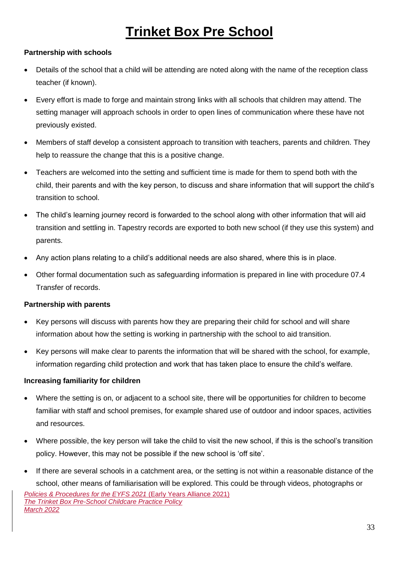#### **Partnership with schools**

- Details of the school that a child will be attending are noted along with the name of the reception class teacher (if known).
- Every effort is made to forge and maintain strong links with all schools that children may attend. The setting manager will approach schools in order to open lines of communication where these have not previously existed.
- Members of staff develop a consistent approach to transition with teachers, parents and children. They help to reassure the change that this is a positive change.
- Teachers are welcomed into the setting and sufficient time is made for them to spend both with the child, their parents and with the key person, to discuss and share information that will support the child's transition to school.
- The child's learning journey record is forwarded to the school along with other information that will aid transition and settling in. Tapestry records are exported to both new school (if they use this system) and parents.
- Any action plans relating to a child's additional needs are also shared, where this is in place.
- Other formal documentation such as safeguarding information is prepared in line with procedure 07.4 Transfer of records.

#### **Partnership with parents**

- Key persons will discuss with parents how they are preparing their child for school and will share information about how the setting is working in partnership with the school to aid transition.
- Key persons will make clear to parents the information that will be shared with the school, for example, information regarding child protection and work that has taken place to ensure the child's welfare.

### **Increasing familiarity for children**

- Where the setting is on, or adjacent to a school site, there will be opportunities for children to become familiar with staff and school premises, for example shared use of outdoor and indoor spaces, activities and resources.
- Where possible, the key person will take the child to visit the new school, if this is the school's transition policy. However, this may not be possible if the new school is 'off site'.
- *Policies & Procedures for the EYFS 2021* (Early Years Alliance 2021) *The Trinket Box Pre-School Childcare Practice Policy March 2022* If there are several schools in a catchment area, or the setting is not within a reasonable distance of the school, other means of familiarisation will be explored. This could be through videos, photographs or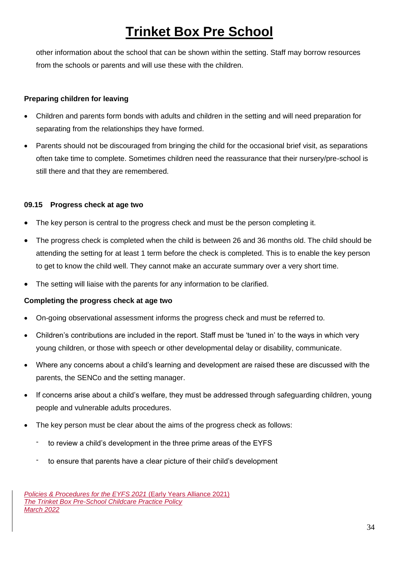other information about the school that can be shown within the setting. Staff may borrow resources from the schools or parents and will use these with the children.

#### **Preparing children for leaving**

- Children and parents form bonds with adults and children in the setting and will need preparation for separating from the relationships they have formed.
- Parents should not be discouraged from bringing the child for the occasional brief visit, as separations often take time to complete. Sometimes children need the reassurance that their nursery/pre-school is still there and that they are remembered.

#### **09.15 Progress check at age two**

- The key person is central to the progress check and must be the person completing it.
- The progress check is completed when the child is between 26 and 36 months old. The child should be attending the setting for at least 1 term before the check is completed. This is to enable the key person to get to know the child well. They cannot make an accurate summary over a very short time.
- The setting will liaise with the parents for any information to be clarified.

#### **Completing the progress check at age two**

- On-going observational assessment informs the progress check and must be referred to.
- Children's contributions are included in the report. Staff must be 'tuned in' to the ways in which very young children, or those with speech or other developmental delay or disability, communicate.
- Where any concerns about a child's learning and development are raised these are discussed with the parents, the SENCo and the setting manager.
- If concerns arise about a child's welfare, they must be addressed through safeguarding children, young people and vulnerable adults procedures.
- The key person must be clear about the aims of the progress check as follows:
	- to review a child's development in the three prime areas of the EYFS
	- to ensure that parents have a clear picture of their child's development